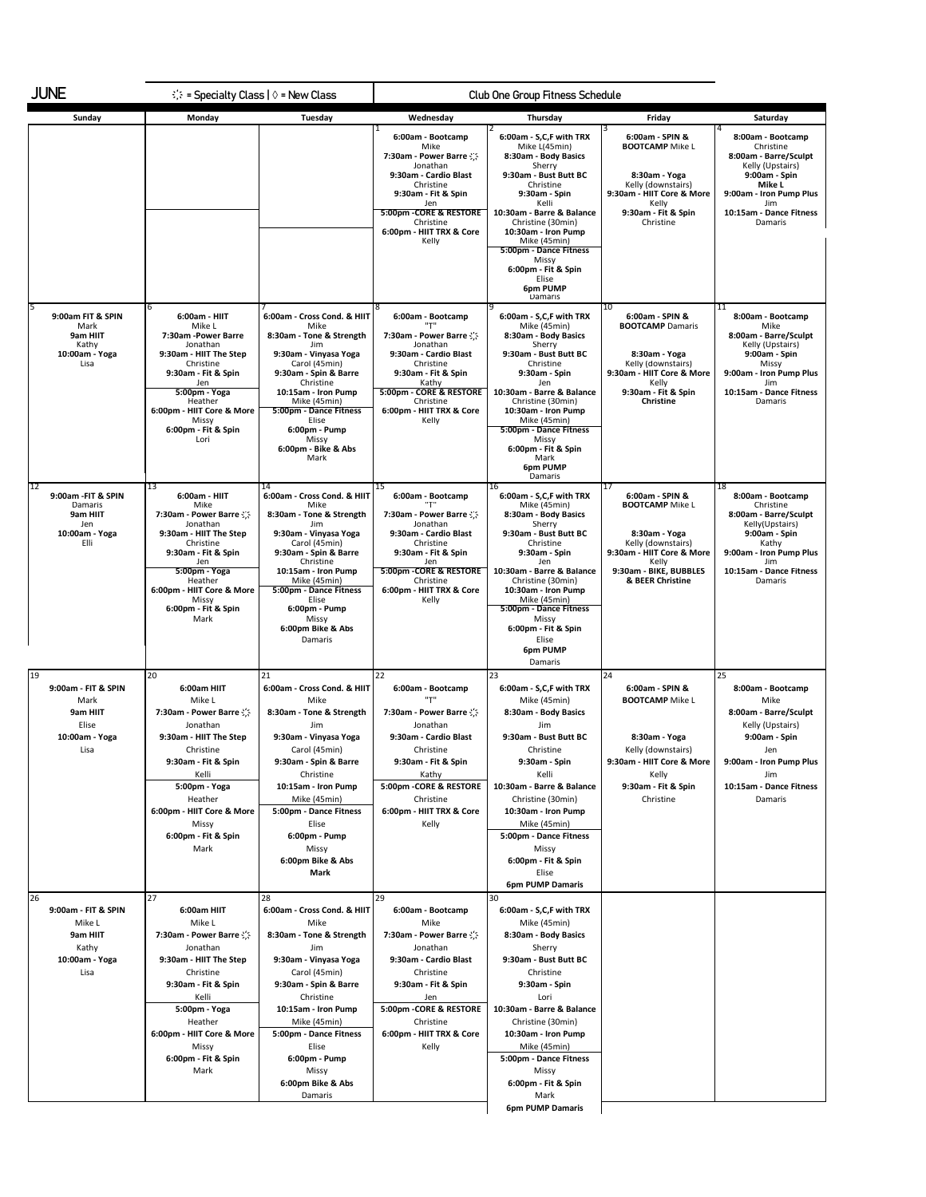| <b>JUNE</b><br>$\therefore$ = Specialty Class   $\Diamond$ = New Class             |                                                                                                                                                                                                                                         | Club One Group Fitness Schedule                                                                                                                                                                                                                                                                  |                                                                                                                                                                                                                          |                                                                                                                                                                                                                                                                                                                                      |                                                                                                                                                                            |                                                                                                                                                                                     |
|------------------------------------------------------------------------------------|-----------------------------------------------------------------------------------------------------------------------------------------------------------------------------------------------------------------------------------------|--------------------------------------------------------------------------------------------------------------------------------------------------------------------------------------------------------------------------------------------------------------------------------------------------|--------------------------------------------------------------------------------------------------------------------------------------------------------------------------------------------------------------------------|--------------------------------------------------------------------------------------------------------------------------------------------------------------------------------------------------------------------------------------------------------------------------------------------------------------------------------------|----------------------------------------------------------------------------------------------------------------------------------------------------------------------------|-------------------------------------------------------------------------------------------------------------------------------------------------------------------------------------|
| Sunday                                                                             | Monday                                                                                                                                                                                                                                  | Tuesday                                                                                                                                                                                                                                                                                          | Wednesday                                                                                                                                                                                                                | Thursday                                                                                                                                                                                                                                                                                                                             | Friday                                                                                                                                                                     | Saturday                                                                                                                                                                            |
|                                                                                    |                                                                                                                                                                                                                                         |                                                                                                                                                                                                                                                                                                  | 6:00am - Bootcamp<br>Mike<br>7:30am - Power Barre<br>Jonathan<br>9:30am - Cardio Blast<br>Christine<br>9:30am - Fit & Spin<br>Jen<br>5:00pm - CORE & RESTORE<br>Christine<br>6:00pm - HIIT TRX & Core<br>Kelly           | 6:00am - S,C,F with TRX<br>Mike L(45min)<br>8:30am - Body Basics<br>Sherry<br>9:30am - Bust Butt BC<br>Christine<br>9:30am - Spin<br>Kelli<br>10:30am - Barre & Balance<br>Christine (30min)<br>10:30am - Iron Pump<br>Mike (45min)<br>5:00pm - Dance Fitness<br>Missy<br>6:00pm - Fit & Spin<br>Elise<br><b>6pm PUMP</b><br>Damaris | 6:00am - SPIN &<br><b>BOOTCAMP</b> Mike L<br>8:30am - Yoga<br>Kelly (downstairs)<br>9:30am - HIIT Core & More<br>Kelly<br>9:30am - Fit & Spin<br>Christine                 | 8:00am - Bootcamp<br>Christine<br>8:00am - Barre/Sculpt<br>Kelly (Upstairs)<br>9:00am - Spin<br>Mike L<br>9:00am - Iron Pump Plus<br>Jim<br>10:15am - Dance Fitness<br>Damaris      |
| 9:00am FIT & SPIN<br>Mark<br>9am HIIT<br>Kathy<br>10:00am - Yoga<br>Lisa           | 6:00am - HIIT<br>Mike L<br>7:30am -Power Barre<br>Jonathan<br>9:30am - HIIT The Step<br>Christine<br>9:30am - Fit & Spin<br>Jen<br>5:00pm - Yoga<br>Heather<br>6:00pm - HIIT Core & More<br>Missy<br>6:00pm - Fit & Spin<br>Lori        | 6:00am - Cross Cond. & HIIT<br>Mike<br>8:30am - Tone & Strength<br>Jim<br>9:30am - Vinyasa Yoga<br>Carol (45min)<br>9:30am - Spin & Barre<br>Christine<br>10:15am - Iron Pump<br>Mike (45min)<br>5:00pm - Dance Fitness<br>Elise<br>6:00pm - Pump<br>Missy<br>6:00pm - Bike & Abs<br>Mark        | 6:00am - Bootcamp<br>7:30am - Power Barre<br>Jonathan<br>9:30am - Cardio Blast<br>Christine<br>9:30am - Fit & Spin<br>Kathy<br>5:00pm - CORE & RESTORE<br>Christine<br>6:00pm - HIIT TRX & Core<br>Kelly                 | 6:00am - S,C,F with TRX<br>Mike (45min)<br>8:30am - Body Basics<br>Sherry<br>9:30am - Bust Butt BC<br>Christine<br>9:30am - Spin<br>Jen<br>10:30am - Barre & Balance<br>Christine (30min)<br>10:30am - Iron Pump<br>Mike (45min)<br>5:00pm - Dance Fitness<br>Missy<br>6:00pm - Fit & Spin<br>Mark<br>6pm PUMP<br>Damaris            | 10<br>6:00am - SPIN &<br><b>BOOTCAMP</b> Damaris<br>8:30am - Yoga<br>Kelly (downstairs)<br>9:30am - HIIT Core & More<br>Kelly<br>9:30am - Fit & Spin<br>Christine          | '11<br>8:00am - Bootcamp<br>Mike<br>8:00am - Barre/Sculpt<br>Kelly (Upstairs)<br>9:00am - Spin<br>Missy<br>9:00am - Iron Pump Plus<br>Jim<br>10:15am - Dance Fitness<br>Damaris     |
| 12<br>9:00am - FIT & SPIN<br>Damaris<br>9am HIIT<br>Jen<br>10:00am - Yoga<br>Elli  | 13<br>6:00am - HIIT<br>Mike<br>7:30am - Power Barre<br>Jonathan<br>9:30am - HIIT The Step<br>Christine<br>9:30am - Fit & Spin<br>Jen<br>5:00pm - Yoga<br>Heather<br>6:00pm - HIIT Core & More<br>Missy<br>6:00pm - Fit & Spin<br>Mark   | 14<br>6:00am - Cross Cond. & HIIT<br>Mike<br>8:30am - Tone & Strength<br>Jim<br>9:30am - Vinyasa Yoga<br>Carol (45min)<br>9:30am - Spin & Barre<br>Christine<br>10:15am - Iron Pump<br>Mike (45min)<br>5:00pm - Dance Fitness<br>Elise<br>6:00pm - Pump<br>Missy<br>6:00pm Bike & Abs<br>Damaris | 15<br>6:00am - Bootcamp<br>"ד"<br>7:30am - Power Barre : ;;<br>Jonathan<br>9:30am - Cardio Blast<br>Christine<br>9:30am - Fit & Spin<br>Jen<br>5:00pm - CORE & RESTORE<br>Christine<br>6:00pm - HIIT TRX & Core<br>Kelly | 16<br>6:00am - S,C,F with TRX<br>Mike (45min)<br>8:30am - Body Basics<br>Sherry<br>9:30am - Bust Butt BC<br>Christine<br>9:30am - Spin<br>Jen<br>10:30am - Barre & Balance<br>Christine (30min)<br>10:30am - Iron Pump<br>Mike (45min)<br>5:00pm - Dance Fitness<br>Missy<br>6:00pm - Fit & Spin<br>Elise<br>6pm PUMP<br>Damaris     | 17<br>6:00am - SPIN &<br><b>BOOTCAMP Mike L</b><br>8:30am - Yoga<br>Kelly (downstairs)<br>9:30am - HIIT Core & More<br>Kelly<br>9:30am - BIKE, BUBBLES<br>& BEER Christine | '18<br>8:00am - Bootcamp<br>Christine<br>8:00am - Barre/Sculpt<br>Kelly(Upstairs)<br>9:00am - Spin<br>Kathy<br>9:00am - Iron Pump Plus<br>Jim<br>10:15am - Dance Fitness<br>Damaris |
| 19<br>9:00am - FIT & SPIN<br>Mark<br>9am HIIT<br>Elise<br>10:00am - Yoga<br>Lisa   | 20<br>6:00am HIIT<br>Mike L<br>7:30am - Power Barre<br>Jonathan<br>9:30am - HIIT The Step<br>Christine<br>9:30am - Fit & Spin<br>Kelli<br>5:00pm - Yoga<br>Heather<br>6:00pm - HIIT Core & More<br>Missy<br>6:00pm - Fit & Spin<br>Mark | 21<br>6:00am - Cross Cond. & HIIT<br>Mike<br>8:30am - Tone & Strength<br>Jim<br>9:30am - Vinyasa Yoga<br>Carol (45min)<br>9:30am - Spin & Barre<br>Christine<br>10:15am - Iron Pump<br>Mike (45min)<br>5:00pm - Dance Fitness<br>Elise<br>6:00pm - Pump<br>Missy<br>6:00pm Bike & Abs<br>Mark    | 22<br>6:00am - Bootcamp<br>"ד"<br>7:30am - Power Barre<br>Jonathan<br>9:30am - Cardio Blast<br>Christine<br>9:30am - Fit & Spin<br>Kathy<br>5:00pm - CORE & RESTORE<br>Christine<br>6:00pm - HIIT TRX & Core<br>Kelly    | 23<br>6:00am - S,C,F with TRX<br>Mike (45min)<br>8:30am - Body Basics<br>Jim<br>9:30am - Bust Butt BC<br>Christine<br>9:30am - Spin<br>Kelli<br>10:30am - Barre & Balance<br>Christine (30min)<br>10:30am - Iron Pump<br>Mike (45min)<br>5:00pm - Dance Fitness<br>Missy<br>6:00pm - Fit & Spin<br>Elise<br><b>6pm PUMP Damaris</b>  | 24<br>6:00am - SPIN &<br><b>BOOTCAMP</b> Mike L<br>8:30am - Yoga<br>Kelly (downstairs)<br>9:30am - HIIT Core & More<br>Kelly<br>9:30am - Fit & Spin<br>Christine           | 25<br>8:00am - Bootcamp<br>Mike<br>8:00am - Barre/Sculpt<br>Kelly (Upstairs)<br>9:00am - Spin<br>Jen<br>9:00am - Iron Pump Plus<br>Jim<br>10:15am - Dance Fitness<br>Damaris        |
| 26<br>9:00am - FIT & SPIN<br>Mike L<br>9am HIIT<br>Kathy<br>10:00am - Yoga<br>Lisa | 27<br>6:00am HIIT<br>Mike L<br>7:30am - Power Barre<br>Jonathan<br>9:30am - HIIT The Step<br>Christine<br>9:30am - Fit & Spin<br>Kelli<br>5:00pm - Yoga<br>Heather<br>6:00pm - HIIT Core & More<br>Missy<br>6:00pm - Fit & Spin<br>Mark | 28<br>6:00am - Cross Cond. & HIIT<br>Mike<br>8:30am - Tone & Strength<br>Jim<br>9:30am - Vinyasa Yoga<br>Carol (45min)<br>9:30am - Spin & Barre<br>Christine<br>10:15am - Iron Pump<br>Mike (45min)<br>5:00pm - Dance Fitness<br>Elise<br>6:00pm - Pump<br>Missy<br>6:00pm Bike & Abs<br>Damaris | 29<br>6:00am - Bootcamp<br>Mike<br>7:30am - Power Barre<br>Jonathan<br>9:30am - Cardio Blast<br>Christine<br>9:30am - Fit & Spin<br>Jen<br>5:00pm - CORE & RESTORE<br>Christine<br>6:00pm - HIIT TRX & Core<br>Kelly     | 30<br>6:00am - S,C,F with TRX<br>Mike (45min)<br>8:30am - Body Basics<br>Sherry<br>9:30am - Bust Butt BC<br>Christine<br>9:30am - Spin<br>Lori<br>10:30am - Barre & Balance<br>Christine (30min)<br>10:30am - Iron Pump<br>Mike (45min)<br>5:00pm - Dance Fitness<br>Missy<br>6:00pm - Fit & Spin<br>Mark<br>6pm PUMP Damaris        |                                                                                                                                                                            |                                                                                                                                                                                     |